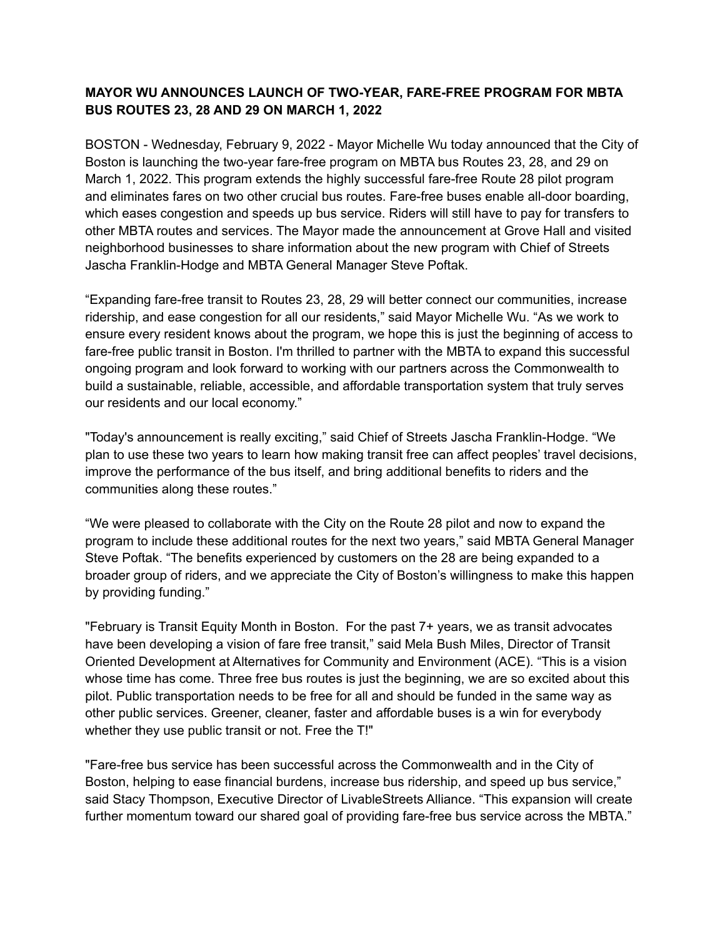## **MAYOR WU ANNOUNCES LAUNCH OF TWO-YEAR, FARE-FREE PROGRAM FOR MBTA BUS ROUTES 23, 28 AND 29 ON MARCH 1, 2022**

BOSTON - Wednesday, February 9, 2022 - Mayor Michelle Wu today announced that the City of Boston is launching the two-year fare-free program on MBTA bus Routes 23, 28, and 29 on March 1, 2022. This program extends the highly successful fare-free Route 28 pilot program and eliminates fares on two other crucial bus routes. Fare-free buses enable all-door boarding, which eases congestion and speeds up bus service. Riders will still have to pay for transfers to other MBTA routes and services. The Mayor made the announcement at Grove Hall and visited neighborhood businesses to share information about the new program with Chief of Streets Jascha Franklin-Hodge and MBTA General Manager Steve Poftak.

"Expanding fare-free transit to Routes 23, 28, 29 will better connect our communities, increase ridership, and ease congestion for all our residents," said Mayor Michelle Wu. "As we work to ensure every resident knows about the program, we hope this is just the beginning of access to fare-free public transit in Boston. I'm thrilled to partner with the MBTA to expand this successful ongoing program and look forward to working with our partners across the Commonwealth to build a sustainable, reliable, accessible, and affordable transportation system that truly serves our residents and our local economy."

"Today's announcement is really exciting," said Chief of Streets Jascha Franklin-Hodge. "We plan to use these two years to learn how making transit free can affect peoples' travel decisions, improve the performance of the bus itself, and bring additional benefits to riders and the communities along these routes."

"We were pleased to collaborate with the City on the Route 28 pilot and now to expand the program to include these additional routes for the next two years," said MBTA General Manager Steve Poftak. "The benefits experienced by customers on the 28 are being expanded to a broader group of riders, and we appreciate the City of Boston's willingness to make this happen by providing funding."

"February is Transit Equity Month in Boston. For the past 7+ years, we as transit advocates have been developing a vision of fare free transit," said Mela Bush Miles, Director of Transit Oriented Development at Alternatives for Community and Environment (ACE). "This is a vision whose time has come. Three free bus routes is just the beginning, we are so excited about this pilot. Public transportation needs to be free for all and should be funded in the same way as other public services. Greener, cleaner, faster and affordable buses is a win for everybody whether they use public transit or not. Free the T!"

"Fare-free bus service has been successful across the Commonwealth and in the City of Boston, helping to ease financial burdens, increase bus ridership, and speed up bus service," said Stacy Thompson, Executive Director of LivableStreets Alliance. "This expansion will create further momentum toward our shared goal of providing fare-free bus service across the MBTA."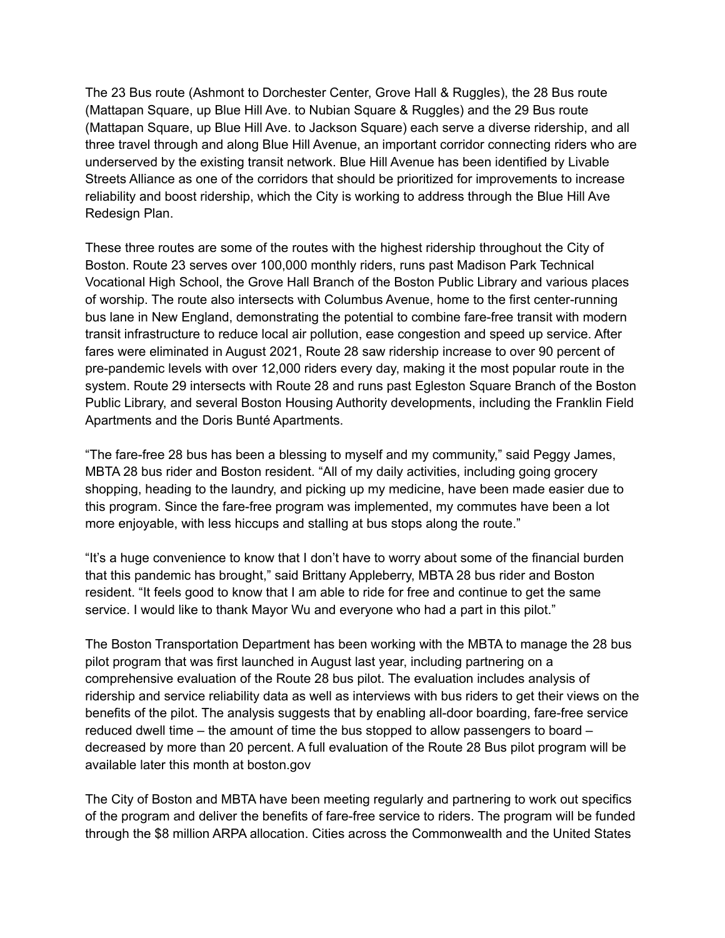The 23 Bus route (Ashmont to Dorchester Center, Grove Hall & Ruggles), the 28 Bus route (Mattapan Square, up Blue Hill Ave. to Nubian Square & Ruggles) and the 29 Bus route (Mattapan Square, up Blue Hill Ave. to Jackson Square) each serve a diverse ridership, and all three travel through and along Blue Hill Avenue, an important corridor connecting riders who are underserved by the existing transit network. Blue Hill Avenue has been identified by Livable Streets Alliance as one of the corridors that should be prioritized for improvements to increase reliability and boost ridership, which the City is working to address through the Blue Hill Ave Redesign Plan.

These three routes are some of the routes with the highest ridership throughout the City of Boston. Route 23 serves over 100,000 monthly riders, runs past Madison Park Technical Vocational High School, the Grove Hall Branch of the Boston Public Library and various places of worship. The route also intersects with Columbus Avenue, home to the first center-running bus lane in New England, demonstrating the potential to combine fare-free transit with modern transit infrastructure to reduce local air pollution, ease congestion and speed up service. After fares were eliminated in August 2021, Route 28 saw ridership increase to over 90 percent of pre-pandemic levels with over 12,000 riders every day, making it the most popular route in the system. Route 29 intersects with Route 28 and runs past Egleston Square Branch of the Boston Public Library, and several Boston Housing Authority developments, including the Franklin Field Apartments and the Doris Bunté Apartments.

"The fare-free 28 bus has been a blessing to myself and my community," said Peggy James, MBTA 28 bus rider and Boston resident. "All of my daily activities, including going grocery shopping, heading to the laundry, and picking up my medicine, have been made easier due to this program. Since the fare-free program was implemented, my commutes have been a lot more enjoyable, with less hiccups and stalling at bus stops along the route."

"It's a huge convenience to know that I don't have to worry about some of the financial burden that this pandemic has brought," said Brittany Appleberry, MBTA 28 bus rider and Boston resident. "It feels good to know that I am able to ride for free and continue to get the same service. I would like to thank Mayor Wu and everyone who had a part in this pilot."

The Boston Transportation Department has been working with the MBTA to manage the 28 bus pilot program that was first launched in August last year, including partnering on a comprehensive evaluation of the Route 28 bus pilot. The evaluation includes analysis of ridership and service reliability data as well as interviews with bus riders to get their views on the benefits of the pilot. The analysis suggests that by enabling all-door boarding, fare-free service reduced dwell time – the amount of time the bus stopped to allow passengers to board – decreased by more than 20 percent. A full evaluation of the Route 28 Bus pilot program will be available later this month at boston.gov

The City of Boston and MBTA have been meeting regularly and partnering to work out specifics of the program and deliver the benefits of fare-free service to riders. The program will be funded through the \$8 million ARPA allocation. Cities across the Commonwealth and the United States